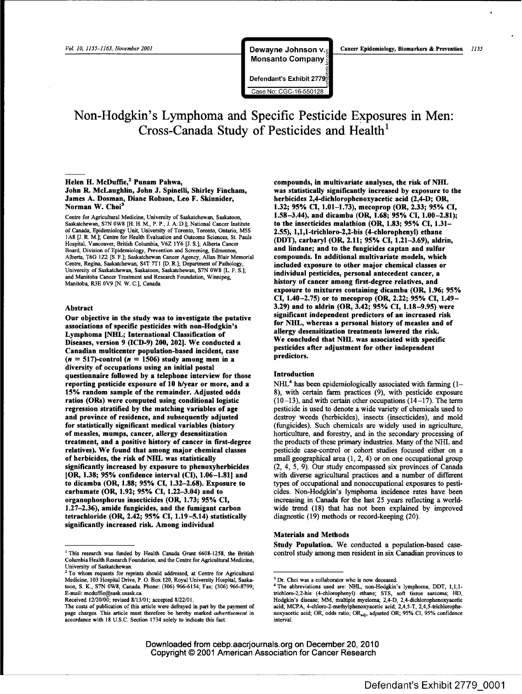**Monsanto Company** 

Defendant's Exhibit Case No: CGC-16-550128

 $\mathcal{L}$  monopolynomials  $\mathcal{L}$  and  $\mathcal{L}$  and  $\mathcal{L}$  are  $\mathcal{L}$  and  $\mathcal{L}$  and  $\mathcal{L}$  are  $\mathcal{L}$  and  $\mathcal{L}$  are  $\mathcal{L}$  and  $\mathcal{L}$  are  $\mathcal{L}$  and  $\mathcal{L}$  are  $\mathcal{L}$  and  $\mathcal{L}$  are  $\mathcal{L}$  and

# **Non-Hodgkin's Lymphoma and Specific Pesticide ExPosures in Men: Cross-Canada Study** of Pesticides and Health<sup>1</sup>

# Helen H. McDuffie,<sup>2</sup> Punam Pahwa, John R. McLaughlin, John J. Spinelli, Shirley Fincham, James A. Dosman, Diane Robson, Leo F. Skinnider, Norman W. Choi<sup>3</sup>

Centre for Agricultural Medicine, University of Saskatchewan, Saskatoon, Saskatchewan, S7N 0W8 [H. H. M., P. P., J. A. D.]; National Cancer Institute of Canada, Epidemiology Unit, University of Toronto, Toronto, Ontario, M5S 1AS [J. R. M.]; Centre for Health Evaluation and Outcome Sciences, St. Pauls Hospital, Vancouver, British Columbia, V6Z 1Y6 [J. S.]; Alberta Cancer Board, Division of Epidemiology, Prevention and Screening, Edmonton, Alberta, T6G 1Z2 [S. F.]; Saskatchewan Cancer Agency, Allan Blair Memorial Centre, Regina, Saskatchewan, S4T 7TI [D. R.]; Department of Pathology, University of Saskatchewan, Saskatoon, Saskatchewan, S7N 0W8 [L. F. S.]; and Manitoba Cancer Treatment and Research Foundation, Winnipeg, Manitoba, R3E 0V9 [N. W. C.], Canada

## Abstract

Our objective in the study was to investigate the putative associations of specific pesticides with non-Hodgkin's Lymphoma [NHL; International Classification of Diseases, version 9 (ICD-9) 200, 202]. We conducted a Canadian muiticenter population-based incident, case  $(n = 517)$ -control  $(n = 1506)$  study among men in a diversity of occupations using an initial postal questionnaire followed by a telephone interview for those reporting pesticide exposure of 10 h/year or more, and a 15% random sample of the remainder. Adjusted odds ratios (ORs) were computed using conditional logistic regression stratified by the matching variables of age and province of residence, and subsequently adjusted for statistically significant medical variables (history of measles, mumps, cancer, allergy desensitization treatment, and a positive history of cancer in first-degree relatives). We found that among major chemical classes of herbicides, the risk of NHL was statistically significantly increased by exposure to phenoxyherbicides [OR, 1.38; 95% confidence interval (CI), 1.06-1.81] and to dicamba (OR, 1.88; 95% CI, 1.32-2.68). Exposure to carbamate (OR, 1.92; 95% CI, 1.22-3.04) and to organophosphorus insecticides (OR, 1.73; 95% CI, 1.27-2.36), amide fungicides, and the fumigant carbon tetrachloride (OR, 2.42; 95% CI, 1.19-5.14) statistically significantly increased risk. Among individual

Received 12/20/00; revised 8/13/01; accepted 8/22/01.

compounds, in multivariate analyses, the risk of NHL was statistically significantly increased by exposure to the herbicides 2,4-dichlorophenoxyacetic acid (2,4-D; OR, 1.32; 95% CI, 1.01-1.73), mecoprop (OR, 2.33; 95% CI, 1.58-3.44), and dicamba (OR, 1.68; 95% CI, 1.00-2.81); to the insecticides malathion (OR, 1.83; 95% CI, 1.31- 2.55), 1,1,l-trichloro-2,2-bis (4-chlorophenyl) ethane (DDT), carbaryl (OR, 2.11; 95% CI, 1.21-3.69), aldrin, and lindane; and to the fungicides captan and sulfur compounds. In additional multivariate models, which included exposure to other major chemical classes or individual pesticides, personal antecedent cancer, a history of cancer among first-degree relatives, and exposure to mixtures containing dicamba (OR, 1.96; 95% CI, 1.40-2.75) or to mecoprop (OR, 2.22; 95% CI, 1.49- 3.29) and to aldrin (OR, 3.42; 95% CI, 1.18-9.95) were significant independent predictors of an increased risk for NHL, whereas a personal history of measles and of allergy desensitization treatments lowered the risk. We concluded that NHL was associated with specific pesticides after adjustment for other independent predictors.

## Introduction

 $NHL<sup>4</sup>$  has been epidemiologically associated with farming (1-8), with certain farm practices (9), with pesticide exposure  $(10-13)$ , and with certain other occupations  $(14-17)$ . The term pesticide is used to denote a wide variety of chemicals used to destroy weeds (herbicides), insects (insecticides), and mold (fungicides). Such chemicals are widely used in agriculture, horticulture, and forestry, and in the secondary processing of the products of these primary industries. Many of the NHL and pesticide case-control or cohort studies focused either on a small geographical area  $(1, 2, 4)$  or on one occupational group (2, 4, 5, 9). Our study encompassed six provinces of Canada with diverse agricultural practices and a number of different types of occupational and nonoccupational exposures to pesticides. Non-Hodgkin's lymphoma incidence rates have been increasing in Canada for the last 25 years reflecting a worldwide trend (18) that has not been explained by improved diagnostic (19) methods or record-keeping (20).

# Materials and Methods

Study Population. We conducted a population-based casecontrol study among men resident in six Canadian provinces to

<sup>&</sup>lt;sup>1</sup> This research was funded by Health Canada Grant 6608-1258, the British Columbia Health Research Foundation, and the Centre for Agricultural Medicine, University of Saskatchewan. 2 To whom requests for reprints should addressed, at Centre for Agricultural

Medicine, 103 Hospital Drive, P. O. Box 120, Royal University Hospital, Saskatoon, S. K., S7N 0W8, Canada. Phone: (306) 966-6154; Fax: (306) 966-8799; E-mail: mcduffie@sask.nsask.ca.

The costs of publication of this article were defrayed in part by the payment of page charges. This article must therefore be hereby marked *advertisement in* accordance with 18 U.S.C. Section 1734 solely to indicate this fact.

<sup>3</sup> Dr. Choi was a collaborator who is now deceased.

<sup>4</sup> The abbreviations used are: NHL, non-Hodgkin's lymphoma; DDT, 1.1.1trichloro-2,2-bis (4-chlorophenyl) ethane; STS, soft tissue sarcoma; HD,<br>Hodgkin's disease; MM, multiple myeloma; 2,4-D, 2,4-dichlorophenoxyacetic acid; MCPA, 4-chloro-2-methylphenoxyacetic acid; 2,4,5-T, 2,4,5-triehlorophenoxyacetic acid; OR, odds ratio; OR<sub>adi</sub>, adjusted OR; 95% CI, 95% confidence interval.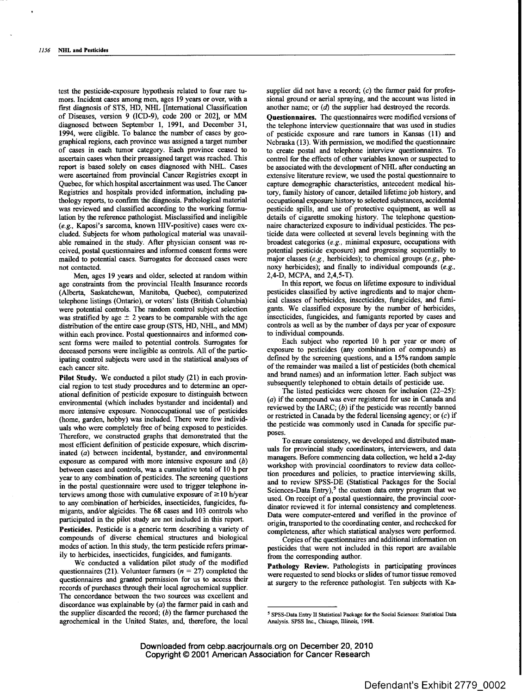test the pesticide-exposure hypothesis related to four rare tumors. Incident cases among men, ages 19 years or over, with a first diagnosis of STS, HD, NHL [International Classification of Diseases, version 9 (ICD-9), code 200 or 202], or MM diagnosed between September 1, 1991, and December 31, 1994, were eligible. To balance the number of cases by geographical regions, each province was assigned a target number of cases in each tumor category. Each province ceased to ascertain cases when their preassigned target was reached. This report is based solely on cases diagnosed with NHL. Cases were ascertained from provincial Cancer Registries except in Quebec, for which hospital ascertainment was used. The Cancer Registries and hospitals provided information, including pathology reports, to confirm the diagnosis. Pathological material was reviewed and classified according to the working formulation by the reference pathologist. Misclassified and ineligible *(e.g.,* Kaposi's sarcoma, known HIV-positive) cases were excluded. Subjects for whom pathological material was unavailable remained in the study. After physician consent was received, postal questionnaires and informed consent forms were mailed to potential cases. Surrogates for deceased cases were not contacted.

Men, ages 19 years and older, selected at random within age constraints from the provincial Health Insurance records (Alberta, Saskatchewan, Manitoba, Quebec), computerized telephone listings (Ontario), or voters' lists (British Columbia) were potential controls. The random control subject selection was stratified by age  $\pm$  2 years to be comparable with the age distribution of the entire case group (STS, HD, NHL, and MM) within each province. Postal questionnaires and informed consent forms were mailed to potential controls. Surrogates for deceased persons were ineligible as controls. All of the participating control subjects were used in the statistical analyses of each cancer site.

Pilot Study. We conducted a pilot study (21) in each provincial region to test study procedures and to determine an operational definition of pesticide exposure to distinguish between environmental (which includes bystander and incidental) and more intensive exposure. Nonoccupational use of pesticides (home, garden, hobby) was included. There were few individuals who were completely free of being exposed to pesticides. Therefore, we constructed graphs that demonstrated that the most efficient definition of pesticide exposure, which discriminated (a) between incidental, bystander, and environmental exposure as compared with more intensive exposure and (b) between cases and controls, was a cumulative total of 10 h per year to any combination of pesticides. The screening questions in the postal questionnaire were used to trigger telephone interviews among those with cumulative exposure of  $\geq$  10 h/year to any combination of herbicides, insecticides, fungicides, fumigants, and/or algicides. The 68 cases and 103 controls who participated in the pilot study are not included in this report.

**Pesticides.** Pesticide is a generic term describing a variety of compounds of diverse chemical structures and biological modes of action. In this study, the term pesticide refers primarily to herbicides, insecticides, fungicides, and fumigants.

We conducted a validation pilot study of the modified questionnaires (21). Volunteer farmers ( $n = 27$ ) completed the questionnaires and granted permission for us to access their records of purchases through their local agrochemical supplier. The concordance between the two sources was excellent and discordance was explainable by  $(a)$  the farmer paid in cash and the supplier discarded the record;  $(b)$  the farmer purchased the agrocbemical in the United States, and, therefore, the local supplier did not have a record;  $(c)$  the farmer paid for professional ground or aerial spraying, and the account was listed in another name; or (d) the supplier had destroyed the records.

**Questionnaires.** The questionnaires were modified versions of the telephone interview questionnaire that was used in studies of pesticide exposure and rare tumors in Kansas (11) and Nebraska (13). With permission, we modified the questionnaire to create postal and telephone interview questionnaires. To control for the effects of other variables known or suspected to be associated with the development of NHL after conducting an extensive literature review, we used the postal questionnaire to capture demographic characteristics, antecedent medical history, family history of cancer, detailed lifetime job history, and occupational exposure history to selected substances, accidental pesticide spills, and use of protective equipment, as well as details of cigarette smoking history. The telephone questionnaire characterized exposure to individual pesticides. The pesticide data were collected at several levels beginning with the broadest categories *(e.g.,* minimal exposure, occupations with potential pesticide exposure) and progressing sequentially to major classes (e.g., herbicides); to chemical groups *(e.g.,* phenoxy herbicides); and finally to individual compounds *(e.g.,* 2,4-D, MCPA, and 2,4,5-T).

In this report, we focus on lifetime exposure to individual pesticides classified by active ingredients and to major chemical classes of herbicides, insecticides, fungicides, and fumigants. We classified exposure by the number of herbicides, insecticides, fungicides, and fumigants reported by cases and controls as well as by the number of days per year of exposure to individual compounds.

Each subject who reported 10 h per year or more of exposure to pesticides (any combination of compounds) as defined by the screening questions, and a 15% random sample of the remainder was mailed a list of pesticides (both chemical and brand names) and an information letter. Each subject was subsequently telephoned to obtain details of pesticide use.

The listed pesticides were chosen for inclusion (22-25):  $(a)$  if the compound was ever registered for use in Canada and reviewed by the IARC;  $(b)$  if the pesticide was recently banned or restricted in Canada by the federal licensing agency; or  $(c)$  if the pesticide was commonly used in Canada for specific purposes.

To ensure consistency, we developed and distributed manuals for provincial study coordinators, interviewers, and data managers. Before commencing data collection, we held a 2-day workshop with provincial coordinators to review data collection procedures and policies, to practice interviewing skills, and to review SPSS-DE (Statistical Packages for the Social Sciences-Data Entry),<sup>5</sup> the custom data entry program that we used. On receipt of a postal questionnaire, the provincial coordinator reviewed it for internal consistency and completeness. Data were computer-entered and verified in the province of origin, transported to the coordinating center, and rechecked for completeness, after which statistical analyses were performed.

Copies of the questionnaires and additional information on pesticides that were not included in this report are available from the corresponding author.

**Pathology Review.** Pathologists in participating provinces were requested to send blocks or slides of tumor tissue removed at surgery to the reference pathologist. Ten subjects with Ka-

<sup>~</sup> SPSS-Dala Entry lI Statistical Package for the Social Sciences: Statistical Data Analysis. SPSS Inc., Chicago, Illinois, 1998.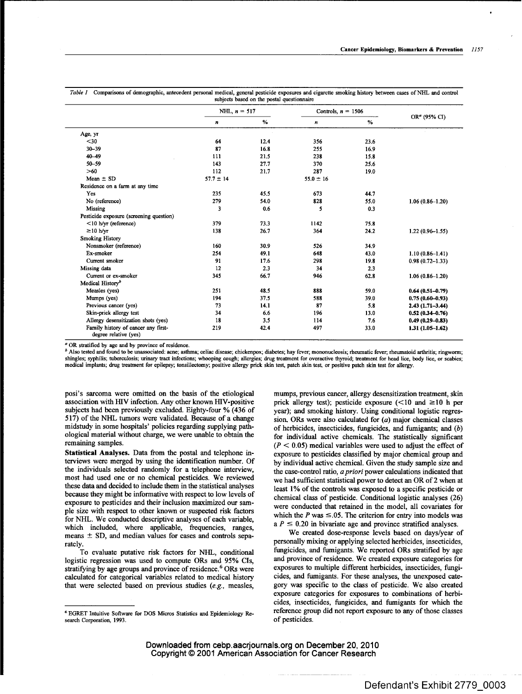|                                                              | NHL, $n = 517$<br>Controls, $n = 1506$ |      |               |      |                          |  |  |
|--------------------------------------------------------------|----------------------------------------|------|---------------|------|--------------------------|--|--|
|                                                              |                                        |      |               |      | OR <sup>a</sup> (95% CI) |  |  |
|                                                              | n                                      | %    | n             | %    |                          |  |  |
| Age, yr                                                      |                                        |      |               |      |                          |  |  |
| $30$                                                         | 64                                     | 12.4 | 356           | 23.6 |                          |  |  |
| $30 - 39$                                                    | 87                                     | 16.8 | 255           | 16.9 |                          |  |  |
| $40 - 49$                                                    | 111                                    | 21.5 | 238           | 15.8 |                          |  |  |
| $50 - 59$                                                    | 143                                    | 27.7 | 370           | 25.6 |                          |  |  |
| $>60$                                                        | 112                                    | 21.7 | 287           | 19.0 |                          |  |  |
| Mean $\pm$ SD                                                | $57.7 \pm 14$                          |      | $55.0 \pm 16$ |      |                          |  |  |
| Residence on a farm at any time                              |                                        |      |               |      |                          |  |  |
| Yes                                                          | 235                                    | 45.5 | 673           | 44.7 |                          |  |  |
| No (reference)                                               | 279                                    | 54.0 | 828           | 55.0 | $1.06(0.86 - 1.20)$      |  |  |
| Missing                                                      | 3                                      | 0.6  | 5             | 0.3  |                          |  |  |
| Pesticide exposure (screening question)                      |                                        |      |               |      |                          |  |  |
| $<$ 10 h/yr (reference)                                      | 379                                    | 73.3 | 1142          | 75.8 |                          |  |  |
| $\geq$ 10 h/yr                                               | 138                                    | 26.7 | 364           | 24.2 | $1.22(0.96 - 1.55)$      |  |  |
| <b>Smoking History</b>                                       |                                        |      |               |      |                          |  |  |
| Nonsmoker (reference)                                        | 160                                    | 30.9 | 526           | 34.9 |                          |  |  |
| Ex-smoker                                                    | 254                                    | 49.1 | 648           | 43.0 | $1.10(0.86 - 1.41)$      |  |  |
| Current smoker                                               | 91                                     | 17.6 | 298           | 19.8 | $0.98(0.72 - 1.33)$      |  |  |
| Missing data                                                 | 12                                     | 2.3  | 34            | 2.3  |                          |  |  |
| Current or ex-smoker                                         | 345                                    | 66.7 | 946           | 62.8 | $1.06(0.86 - 1.20)$      |  |  |
| Medical History <sup>b</sup>                                 |                                        |      |               |      |                          |  |  |
| Measles (yes)                                                | 251                                    | 48.5 | 888           | 59.0 | $0.64(0.51 - 0.79)$      |  |  |
| Mumps (yes)                                                  | 194                                    | 37.5 | 588           | 39.0 | $0.75(0.60 - 0.93)$      |  |  |
| Previous cancer (yes)                                        | 73                                     | 14.1 | 87            | 5.8  | $2.43(1.71 - 3.44)$      |  |  |
| Skin-prick allergy test                                      | 34                                     | 6.6  | 196           | 13.0 | $0.52(0.34 - 0.76)$      |  |  |
| Allergy desensitization shots (yes)                          | 18                                     | 3.5  | 114           | 7.6  | $0.49(0.29 - 0.83)$      |  |  |
| Family history of cancer any first-<br>degree relative (yes) | 219                                    | 42.4 | 497           | 33.0 | $1.31(1.05-1.62)$        |  |  |

*Table I* Comparisons of demographic, antecedent personal medical, general pesticide exposures and cigarette smoking history between cases of NHL and control

<sup>a</sup> OR stratified by age and by province of residence.

<sup>b</sup> Also tested and found to be unassociated: acne; asthma; celiac disease; chickenpox; diabetes; hay fever; mononucleosis; rheumatic fever; rheumatoid arthritis; ringworm; shingles; syphilis; tuberculosis; urinary tract infections; whooping cough; allergies; drug treatment for overactive thyroid; treatment for head lice, body lice, or scabies; medical implants; drug treatment for epilepsy; tonsillectomy; positive allergy prick skin test, patch skin test, or positive patch skin test for allergy.

posi's sarcoma were omitted on the basis of the etiological association with HIV infection. Any other known HIV-positive subjects had been previously excluded. Eighty-four % (436 of 517) of the NHL tumors were validated. Because of a change midstudy in some hospitals' policies regarding supplying pathological material without charge, we were unable to obtain the remaining samples.

**Statistical Analyses.** Data from the postal and telephone interviews were merged by using the identification number. Of the individuals selected randomly for a telephone interview, most had used one or no chemical pesticides. We reviewed these data and decided to include them in the statistical analyses because they might be informative with respect to low levels of exposure to pesticides and their inclusion maximized our sample size with respect to other known or suspected risk factors for NHL. We conducted descriptive analyses of each variable, which included, where applicable, frequencies, ranges, means  $\pm$  SD, and median values for cases and controls separately.

To evaluate putative risk factors for NHL, conditional logistic regression was used to compute ORs and 95% CIs, stratifying by age groups and province of residence.<sup>6</sup> ORs were calculated for categorical variables related to medical history that were selected based on previous studies *(e.g.,* measles,

mumps, previous cancer, allergy desensitization treatment, skin prick allergy test); pesticide exposure  $(<10$  and  $\geq 10$  h per year); and smoking history. Using conditional logistic regression, ORs were also calculated for  $(a)$  major chemical classes of [herbicides,](https://www.baumhedlundlaw.com/toxic-tort-law/monsanto-roundup-lawsuit/) insecticides, fungicides, and fumigants; and (b) for individual active chemicals. The statistically significant  $(P < 0.05)$  medical variables were used to adjust the effect of exposure to pesticides classified by major chemical group and by individual active chemical. Given the study sample size and the case-control ratio, *apriori* power calculations indicated that we had sufficient statistical power to detect an OR of 2 when at least 1% of the controls was exposed to a specific pesticide or chemical class of pesticide. Conditional logistic analyses (26) were conducted that retained in the model, all covariates for which the P was  $\leq 0.05$ . The criterion for entry into models was a  $P \le 0.20$  in bivariate age and province stratified analyses.

We created dose-response levels based on days/year of personally mixing or applying selected herbicides, insecticides, fungicides, and fumigants. We reported ORs stratified by age and province of residence. We created exposure categories for exposures to multiple different herbicides, insecticides, fungicides, and fumigants. For these analyses, the unexposed category was specific to the class of pesticide. We also created exposure categories for exposures to combinations of herbicides, insecticides, fungicides, and fumigants for which the reference group did not report exposure to any of those classes of pesticides.

<sup>6</sup> EGRET Intuitive SoRware for DOS Micros Statistics and Epidemiology Research Corporation, 1993.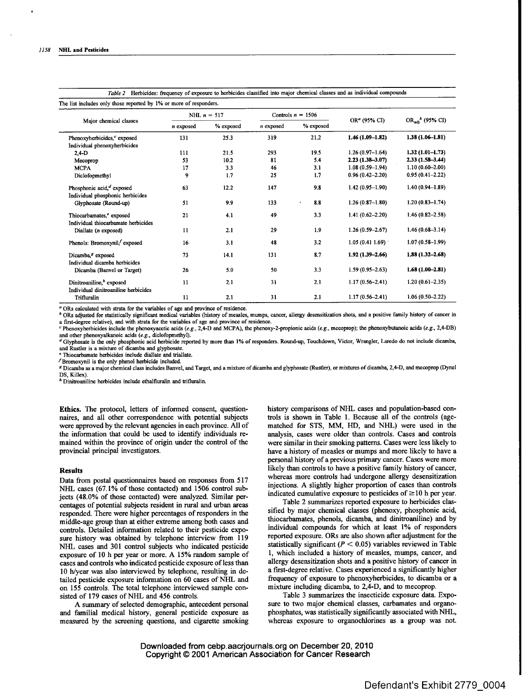|                                                                             | NHL $n = 517$   |           |           | Controls $n = 1506$ |                          |                                |
|-----------------------------------------------------------------------------|-----------------|-----------|-----------|---------------------|--------------------------|--------------------------------|
| Major chemical classes                                                      | n exposed       | % exposed | n exposed | % exposed           | OR <sup>a</sup> (95% CI) | $OR_{\text{adj}}^{b}$ (95% CI) |
| Phenoxyherbicides, <sup>c</sup> exposed                                     | 131             | 25.3      | 319       | 21.2                | $1.46(1.09-1.82)$        | $1.38(1.06-1.81)$              |
| Individual phenoxyherbicides                                                |                 |           |           |                     |                          |                                |
| $2,4-D$                                                                     | 111             | 21.5      | 293       | 19.5                | $1.26(0.97-1.64)$        | $1.32(1.01 - 1.73)$            |
| Mecoprop                                                                    | 53              | 10.2      | 81        | 5.4                 | $2.23(1.38 - 3.07)$      | $2.33(1.58-3.44)$              |
| <b>MCPA</b>                                                                 | 17              | 3.3       | 46        | 3.1                 | $1.08(0.59 - 1.94)$      | $1.10(0.60 - 2.00)$            |
| Diclofopmethyl                                                              | 9               | 1.7       | 25        | 1.7                 | $0.96(0.42 - 2.20)$      | $0.95(0.41 - 2.22)$            |
| Phosphonic acid, <sup>d</sup> exposed                                       | 63              | 12.2      | 147       | 9.8                 | $1.42(0.95-1.90)$        | $1.40(0.94 - 1.89)$            |
| Individual phosphonic herbicides<br>Glyphosate (Round-up)                   | 51              | 9.9       | 133       | 8.8                 | $1.26(0.87-1.80)$        | $1.20(0.83 - 1.74)$            |
| Thiocarbamates, <sup>e</sup> exposed<br>Individual thiocarbamate herbicides | 21              | 4.1       | 49        | 3.3                 | $1.41(0.62 - 2.20)$      | $1.46(0.82 - 2.58)$            |
| Diallate $(n$ exposed)                                                      | 11              | 2.1       | 29        | 1.9                 | $1.26(0.59 - 2.67)$      | $1.46(0.68 - 3.14)$            |
| Phenols: Bromoxynil, exposed                                                | 16              | 3.1       | 48        | 3.2                 | 1.05(0.411.69)           | $1.07(0.58 - 1.99)$            |
| Dicamba. <sup>8</sup> exposed<br>Individual dicamba herbicides              | 73              | 14.1      | 131       | 8.7                 | $1.92(1.39 - 2.66)$      | $1.88(1.32 - 2.68)$            |
| Dicamba (Banvel or Target)                                                  | 26              | 5.0       | 50        | 3.3                 | $1.59(0.95 - 2.63)$      | $1.68(1.00-2.81)$              |
| Dinitroaniline," exposed<br>Individual dinitroaniline herbicides            | $\overline{11}$ | 2.1       | 31        | 2.1                 | $1.17(0.56 - 2.41)$      | $1.20(0.61 - 2.35)$            |
| Trifluralin                                                                 | 11              | 2.1       | 31        | 2.1                 | $1.17(0.56 - 2.41)$      | $1.06(0.50 - 2.22)$            |

*Table 2* Herbicides: frequency of exposure to herbicides classified into major chemical classes and as individual compounds

 $<sup>a</sup>$  ORs calculated with strata for the variables of age and province of residence.</sup>

<sup>b</sup> ORs adjusted for statistically significant medical variables (history of measles, mumps, cancer, allergy desensitization shots, and a positive family history of cancer in a first-degree relative), and with strata for the variables of age and province of residence.

<sup>~</sup> Phenoxyherbicides include the phanoxyacetic acids *(e.g.,* 2,4-D and MCPA), the phenoxy-2-propinnic acids *(e.g.,* mccoprop); the phenoxybutandic acids *(e.g.,* 2,4-DB)

and other phenoxyalkanoic acids (e.g., diclofopmethyl).<br><sup>d</sup> Glyphosate is the only phosphonic acid herbicide reported by more than 1% of responders. Round-up, Touchdown, Victor, Wrangler, Laredo do not include dicamba, and Rustler is a mixture of dicamba and glyphosate

e Thiocarbamate herbicides include diallate and triallate.

YBromoxynil is the only phenol herbicide included.

g Dicamba as a major chemical class includes Banvel, and Target, and a mixture of dicamba and glyphosatc (Rustler), or mixtures of dicamba, 2,4-D, and mecoprop (Dynel DS, Killex).

h Dinitroaniline herbicides include ethalfluralin and trifluralin.

**Ethics.** The protocol, letters of informed consent, questionnaires, and all other correspondence with potential subjects were approved by the relevant agencies in each province. All of the information that could be used to identify individuals remained within the province of origin under the control of the provincial principal investigators.

# **Results**

Data from postal questionnaires based on responses from 517 NHL cases (67.1% of those contacted) and 1506 control subjects (48.0% of those contacted) were analyzed. Similar percentages of potential subjects resident in rural and urban areas responded. There were higher percentages of responders in the middle-age group than at either extreme among both cases and controls. Detailed information related to their pesticide exposure history was obtained by telephone interview from 119 NHL cases and 301 control subjects who indicated pesticide exposure of 10 h per year or more. A 15% random sample of cases and controls who indicated pesticide exposure of less than 10 h/year was also interviewed by telephone, resulting in detailed pesticide exposure information on 60 cases of NHL and on 155 controls. The total telephone interviewed sample consisted of 179 cases of NHL and 456 controls.

A summary of selected demographic, antecedent personal and familial medical history, general pesticide exposure as measured by the screening questions, and cigarette smoking history comparisons of NHL cases and population-based controis is shown in Table 1. Because all of the controls (agematched for STS, MM, HD, and NHL) were used in the analysis, cases were older than controls. Cases and controls were similar in their smoking patterns. Cases were less likely to have a history of measles or mumps and more likely to have a personal history of a previous primary cancer. Cases were more likely than controls to have a positive family history of cancer, whereas more controls had undergone allergy desensitization injections. A slightly higher proportion of eases than controls indicated cumulative exposure to pesticides of  $\geq 10$  h per year.

Table 2 summarizes reported exposure to herbicides classifted by major chemical classes (phenoxy, phosphonic acid, thiocarbamates, phenols, dicamba, and dinitroaniline) and by individual compounds for which at least 1% of responders reported exposure. ORs are also shown after adjustment for the statistically significant ( $P < 0.05$ ) variables reviewed in Table 1, which included a history of measles, mumps, cancer, and allergy desensitization shots and a positive history of cancer in a first-degree relative. Cases experienced a significantly higher frequency of exposure to phenoxyherbicides, to dicamba or a mixture including dicamba, to 2,4-D, and to mecoprop.

Table 3 summarizes the insecticide exposure data Exposure to two major chemical classes, carbamates and organophosphates, was statistically significantly associated with NHL, whereas exposure to organochlorines as a group was not.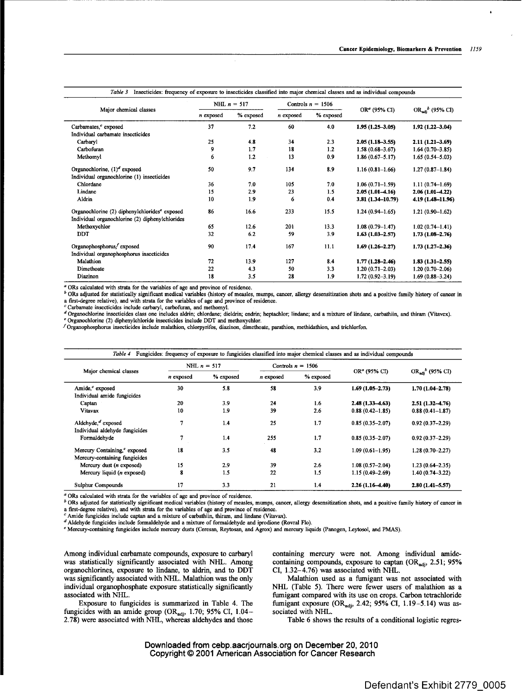| Insecticides: frequency of exposure to insecticides classified into major chemical classes and as individual compounds<br>Table 3 |               |           |           |                     |                     |                                |
|-----------------------------------------------------------------------------------------------------------------------------------|---------------|-----------|-----------|---------------------|---------------------|--------------------------------|
|                                                                                                                                   | NHL $n = 517$ |           |           | Controls $n = 1506$ |                     |                                |
| Major chemical classes                                                                                                            | n exposed     | % exposed | n exposed | % exposed           | $ORa$ (95% CI)      | $OR_{\text{adi}}^{b}$ (95% CI) |
| Carbamates, <sup>c</sup> exposed                                                                                                  | 37            | 7.2       | 60        | 4.0                 | $1.95(1.25-3.05)$   | $1.92(1.22 - 3.04)$            |
| Individual carbamate insecticides                                                                                                 |               |           |           |                     |                     |                                |
| Carbaryl                                                                                                                          | 25            | 4.8       | 34        | 2.3                 | $2.05(1.18-3.55)$   | $2.11(1.21 - 3.69)$            |
| Carbofuran                                                                                                                        | 9             | 1.7       | 18        | 1.2                 | $1.58(0.68 - 3.67)$ | $1.64(0.70 - 3.85)$            |
| Methomyl                                                                                                                          | 6             | 1.2       | 13        | 0.9                 | $1.86(0.67 - 5.17)$ | $1.65(0.54 - 5.03)$            |
| Organochlorine, $(1)^d$ exposed                                                                                                   | 50            | 9.7       | 134       | 8.9                 | $1.16(0.81-1.66)$   | $1.27(0.87 - 1.84)$            |
| Individual organochlorine (1) insecticides                                                                                        |               |           |           |                     |                     |                                |
| Chlordane                                                                                                                         | 36            | 7.0       | 105       | 7.0                 | $1.06(0.71-1.59)$   | $1.11(0.74 - 1.69)$            |
| Lindane                                                                                                                           | 15            | 2.9       | 23        | 1.5                 | $2.05(1.01-4.16)$   | $2.06(1.01-4.22)$              |
| Aldrin                                                                                                                            | 10            | 1.9       | 6         | 0.4                 | 3.81 (1.34-10.79)   | 4.19 (1.48-11.96)              |
| Organochlorine (2) diphenylchlorides <sup>e</sup> exposed                                                                         | 86            | 16.6      | 233       | 15.5                | $1.24(0.94-1.65)$   | $1.21(0.90-1.62)$              |
| Individual organochlorine (2) diphenylchlorides                                                                                   |               |           |           |                     |                     |                                |
| Methoxychlor                                                                                                                      | 65            | 12.6      | 201       | 13.3                | $1.08(0.79 - 1.47)$ | $1.02(0.74 - 1.41)$            |
| <b>DDT</b>                                                                                                                        | 32            | 6.2       | 59        | 3.9                 | $1.63(1.03 - 2.57)$ | $1.73(1.08 - 2.76)$            |
| Organophosphorus, <sup>f</sup> exposed                                                                                            | 90            | 17.4      | 167       | 11.1                | $1.69(1.26 - 2.27)$ | $1.73(1.27 - 2.36)$            |
| Individual organophosphorus insecticides                                                                                          |               |           |           |                     |                     |                                |
| Malathion                                                                                                                         | 72            | 13.9      | 127       | 8.4                 | $1.77(1.28 - 2.46)$ | $1.83(1.31 - 2.55)$            |
| Dimethoate                                                                                                                        | 22            | 4.3       | 50        | 3.3                 | $1.20(0.71 - 2.03)$ | $1.20(0.70-2.06)$              |
| Diazinon                                                                                                                          | 18            | 3.5       | 28        | 1.9                 | $1.72(0.92 - 3.19)$ | $1.69(0.88 - 3.24)$            |

ORs calculated with strata for the variables of age and province of residence.

<sup>6</sup> ORs adjusted for statistically significant medical variables (history of measles, mumps, cancer, allergy desensitization shots and a positive family history of cancer in first-degree relative), and with strata for the variables of age and province of residence.

Carbamate insecticides include carbaryl, carbofuran, and methomyl.<br>Organochlorine insecticides class one includes aldrin; chlordane; dieldrin; endrin; heptachlor; lindane; and a mixture of lindane, carbathiin, and thiram ( Organochlorine (2) diphenylchloride insecticides include DDT and methoxychlor.

Organophosphorus insecticides include malathion, chlorpyrifos, diazinon, dimethoate, parathion, methidathion, and trichlorfon.

| Fungicides: frequency of exposure to fungicides classified into major chemical classes and as individual compounds<br>Table 4 |               |           |           |                     |                          |                       |
|-------------------------------------------------------------------------------------------------------------------------------|---------------|-----------|-----------|---------------------|--------------------------|-----------------------|
|                                                                                                                               | NHL $n = 517$ |           |           | Controls $n = 1506$ |                          |                       |
| Major chemical classes                                                                                                        | n exposed     | % exposed | n exposed | % exposed           | OR <sup>a</sup> (95% CI) | $OR_{adi}^b$ (95% CI) |
| Amide, <sup>c</sup> exposed                                                                                                   | 30            | 5.8       | 58        | 3.9                 | $1.69(1.05 - 2.73)$      | $1.70(1.04 - 2.78)$   |
| Individual amide fungicides                                                                                                   |               |           |           |                     |                          |                       |
| Captan                                                                                                                        | 20            | 3.9       | 24        | 1.6                 | $2.48(1.33 - 4.63)$      | $2.51(1.32 - 4.76)$   |
| Vitavax                                                                                                                       | 10            | 1.9       | 39        | 2.6                 | $0.88(0.42 - 1.85)$      | $0.88(0.41 - 1.87)$   |
| Aldehyde, $d$ exposed                                                                                                         | 7             | 1.4       | 25        | 1.7                 | $0.85(0.35 - 2.07)$      | $0.92(0.37 - 2.29)$   |
| Individual aldehyde fungicides                                                                                                |               |           |           |                     |                          |                       |
| Formaldehyde                                                                                                                  | 7             | 1.4       | 255       | 1.7                 | $0.85(0.35 - 2.07)$      | $0.92(0.37 - 2.29)$   |
| Mercury Containing, <sup>e</sup> exposed                                                                                      | 18            | 3.5       | 48        | 3.2                 | $1.09(0.61 - 1.95)$      | $1.28(0.70 - 2.27)$   |
| Mercury-containing fungicides                                                                                                 |               |           |           |                     |                          |                       |
| Mercury dust $(n$ exposed)                                                                                                    | 15            | 2.9       | 39        | 2.6                 | $1.08(0.57 - 2.04)$      | $1.23(0.64 - 2.35)$   |
| Mercury liquid ( <i>n</i> exposed)                                                                                            | 8             | 1.5       | 22        | 1.5                 | $1.15(0.49 - 2.69)$      | 1.40 (0.74-3.22)      |
| Sulphur Compounds                                                                                                             | 17            | 3.3       | 21        | 1.4                 | $2.26(1.16-4.40)$        | $2.80(1.41 - 5.57)$   |

ORs calculated with strata for the variables of age and province of residence.

<sup>b</sup> ORs adjusted for statistically significant medical variables (history of measles, mumps, cancer, allergy desensitization shots, and a positive family history of cancer in a first-degree relative), and with strata for the variables of age and province of residence.

 $^c$  Amide fungicides include captan and a mixture of carbathiin, thiram, and lindane (Vitavax).

a Aldehyde fungicides include formaldehyde and a mixture of formaldehyde and iprodiune (Rovral Flo).

Mercury-containing fungicides include mercury dusts (Ceresan, Reytosan, and Agrox) and mercury liquids (Panogen, Leytosol, and PMAS).

Among individual carbamate compounds, exposure to carbaryl was statistically significantly associated with NHL. Among organochlorines, exposure to lindane, to aldrin, and to DDT was significantly associated with NHL. Malathion was the only individual organophosphate exposure statistically significantly associated with NHL.

Exposure to fungicides is summarized in Table 4. The fungicides with an amide group (OR<sub>adi</sub>, 1.70; 95% CI, 1.04-2.78) were associated with NHL, whereas aldehydes and those containing mercury were not. Among individual amidecontaining compounds, exposure to captan  $(OR_{adj}, 2.51; 95\%)$ CI, 1.32-4.76) was associated with NHL.

Malathion used as a fumigant was not associated with NHL (Table 5). There were fewer users of malathion as a fumigant compared with its use on crops. Carbon tetrachloride fumigant exposure (OR<sub>adi</sub>, 2.42; 95% CI, 1.19-5.14) was associated with NHL.

Table 6 shows the results of a conditional logistic regres-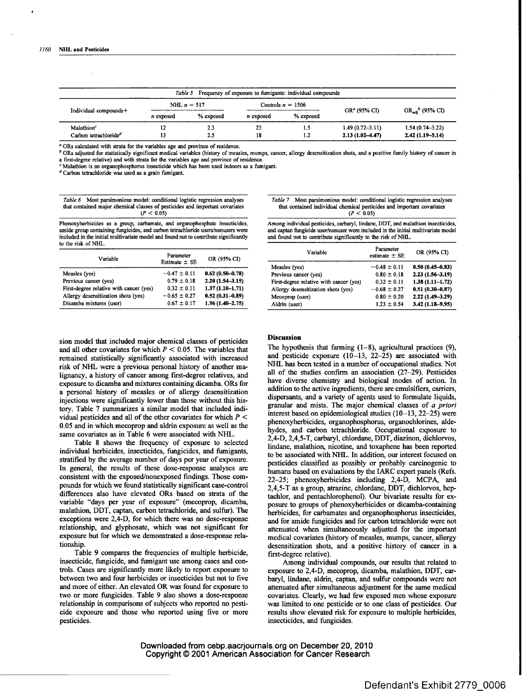|                                   |           |               |           | Table 5 Frequency of exposure to fumigants: individual compounds |                     |                                |
|-----------------------------------|-----------|---------------|-----------|------------------------------------------------------------------|---------------------|--------------------------------|
|                                   |           | NHL $n = 517$ |           | Controls $n = 1506$                                              |                     |                                |
| Individual compounds+             | n exposed | % exposed     | n exposed | % exposed                                                        | $ORa$ (95% CI)      | $OR_{\text{adj}}^{b}$ (95% CI) |
| Malathion <sup>c</sup>            |           | 2.3           | 23        | 1.5                                                              | $1.49(0.72 - 3.11)$ | $1.54(0.74 - 3.22)$            |
| Carbon tetrachloride <sup>d</sup> | 13        | 2.5           | 18        | 1.2                                                              | $2.13(1.02 - 4.47)$ | $2.42(1.19 - 5.14)$            |

ORs calculated with strata for the variables age and province of residence.

<sup>b</sup> ORs adjusted for statistically significant medical variables (history of measles, mumps, cancer, allergy desensitization shots, and a positive family history of cancer in a first-degree relative) and with strata for the variables age and province of residence.

Malathion is an organophosphorus insecticide which has been used indoors as a fumigant.

<sup>d</sup> Carbon tetrachloride was used as a grain fumigant.

*Table 6* Most parsimonious model: conditional logistic regression analyses that contained major chemical classes of pesticides and important covariates  $(P < 0.05)$ 

Phenoxyherbicides as a group, carbamate, and organophosphate insecticides, amide group containing fungicides, and carbon tetrachloride users/nonusers were included in the initial multivariate model and found not to contribute significantly to the risk of NHL.

| Variable                                | Parameter<br>Estimate $\pm$ SE | OR (95% CI)         |
|-----------------------------------------|--------------------------------|---------------------|
| Measles (yes)                           | $-0.47 \pm 0.11$               | $0.62(0.50-0.78)$   |
| Previous cancer (yes)                   | $0.79 \pm 0.18$                | $2.20(1.54 - 3.15)$ |
| First-degree relative with cancer (yes) | $0.32 \pm 0.11$                | $1.37(1.10-1.71)$   |
| Allergy desensitization shots (yes)     | $-0.65 \pm 0.27$               | $0.52(0.31 - 0.89)$ |
| Dicamba mixtures (user)                 | $0.67 \pm 0.17$                | $1.96(1.40 - 2.75)$ |

*Table 7* Most parsimonious model: conditional logistic regression analyses that contained individual chemical pesticides and important covariates  $(P < 0.05)$ 

Among individual pesticides, carbaryl, lindane, DDT, and malathion insecticides, and captan fungicide user/nonuser were included in the initial multivariate model and found not to contribute significantly to the risk of NHL.

| Variable                                | Parameter<br>estimate $\pm$ SE | OR (95% CI)         |
|-----------------------------------------|--------------------------------|---------------------|
| Measles (yes)                           | $-0.48 \pm 0.11$               | $0.50(0.45 - 0.83)$ |
| Previous cancer (yes)                   | $0.80 \pm 0.18$                | $2.23(1.56 - 3.19)$ |
| First-degree relative with cancer (yes) | $0.32 \pm 0.11$                | $1.38(1.11 - 1.72)$ |
| Allergy desensitization shots (yes)     | $-0.68 \pm 0.27$               | $0.51(0.30 - 0.87)$ |
| Mecoprop (user)                         | $0.80 \pm 0.20$                | $2.22(1.49 - 3.29)$ |
| Aldrin (user)                           | $1.23 \pm 0.54$                | $3.42(1.18 - 9.95)$ |

sion model that included major chemical classes of pesticides and all other covariates for which  $P < 0.05$ . The variables that remained statistically significantly associated with increased risk of NHL were a previous personal history of another malignancy, a history of cancer among first-degree relatives, and exposure to dicamba and mixtures containing dicamba. ORs for a personal history of measles or of allergy desensitization injections were significantly lower than those without this history. Table 7 summarizes a similar model that included individual pesticides and all of the other covariates for which  $P \leq$ 0.05 and in which mecoprop and aldrin exposure as well as the same covariates as in Table 6 were associated with NHL.

Table 8 shows the frequency of exposure to selected individual herbicides, insecticides, fungicides, and fumigants, stratified by the average number of days per year of exposure. In general, the results of these dose-response analyses are consistent with the exposed/nonexposed findings. Those compounds for which we found statistically significant case-control differences also have elevated ORs based on strata of the variable "days per year of exposure" (mecoprop, dicamba, malathion, DDT, captan, carbon tetrachloride, and sulfur). The exceptions were 2,4-D, for which there was no dose-response relationship, and glyphosate, which was not significant for exposure but for which we demonstrated a dose-response relationship.

Table 9 compares the frequencies of multiple herbicide, insecticide, fungicide, and fumigant use among cases and controis. Cases are significantly more likely to report exposure to between two and four herbicides or insecticides but not to five and more of either. An elevated OR was found for exposure to two or more fungicides. Table 9 also shows a dose-response relationship in comparisons of subjects who reported no pesticide exposure and those who reported using five or more pesticides.

## **Discussion**

The hypothesis that farming  $(1-8)$ , agricultural practices  $(9)$ , and pesticide exposure  $(10-13, 22-25)$  are associated with NHL has been tested in a number of occupational studies. Not all of the studies confirm an association  $(27-29)$ . Pesticides have diverse chemistry and biological modes of action. In addition to the active ingredients, there are emulsifiers, carriers, dispersants, and a variety of agents used to formulate liquids, granular and mists. The major chemical classes of *a priori* interest based on epidemiological studies (10-13, 22-25) were phenoxyherbicides, organophosphorus, organochlorines, aldehydes, and carbon tetrachloride. Occupational exposure to 2,4-D, 2,4,5-T, carbaryl, chlordane, DDT, diazinon, dichlorvos, lindane, malathion, nicotine, and toxaphene has been reported to be associated with NHL. In addition, our interest focused on pesticides classified as possibly or probably carcinogenic to humans based on evaluations by the IARC expert panels (Refs. 22-25; phenoxyherbicides including 2,4-D, MCPA, and 2,4,5-T as a group, atrazine, chlordane, DDT, dichlorvos, heptachlor, and pentachlorophenol). Our bivariate results for exposure to groups of phenoxyherbicides or dicamba-containing herbicides, for carbamates and organophosphorus insecticides, and for amide fungicides and for carbon tetrachloride were not attenuated when simultaneously adjusted for the important medical covariates (history of measles, mumps, cancer, allergy desensitization shots, and a positive history of cancer in a first-degree relative).

Among individual compounds, our results that related to exposure to 2,4-D, mecoprop, dicamba, malathion, DDT, carbaryl, lindane, aldrin, captan, and sulfur compounds were not attenuated after simultaneous adjustment for the same medical eovariates. Clearly, we had few exposed men whose exposure was limited to one pesticide or to one class of pesticides. Our results show elevated risk for exposure to multiple herbicides, insecticides, and fungicides.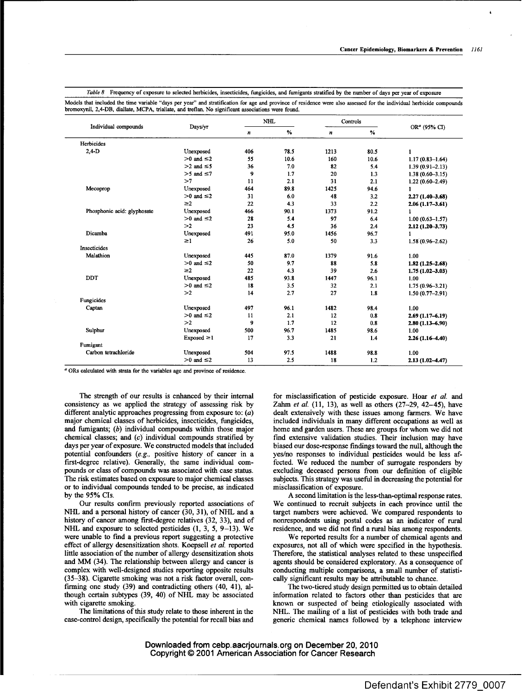|                             |                   |     | <b>NHL</b> |      | Controls |                          |
|-----------------------------|-------------------|-----|------------|------|----------|--------------------------|
| Individual compounds        | Days/yr           | n   | %          | n    | $\%$     | OR <sup>a</sup> (95% CI) |
| Herbicides                  |                   |     |            |      |          |                          |
| $2,4-D$                     | Unexposed         | 406 | 78.5       | 1213 | 80.5     | 1                        |
|                             | $>0$ and $\leq 2$ | 55  | 10.6       | 160  | 10.6     | $1.17(0.83 - 1.64)$      |
|                             | $>2$ and $\leq 5$ | 36  | 7.0        | 82   | 5.4      | $1.39(0.91 - 2.13)$      |
|                             | $>5$ and $\leq$ 7 | 9   | 1.7        | 20   | 1.3      | $1.38(0.60 - 3.15)$      |
|                             | >7                | 11  | 2.1        | 31   | 2.1      | $1.22(0.60 - 2.49)$      |
| Mecoprop                    | Unexposed         | 464 | 89.8       | 1425 | 94.6     | 1                        |
|                             | $>0$ and $\leq 2$ | 31  | 6.0        | 48   | 3.2      | $2.27(1.40-3.68)$        |
|                             | $\geq$ 2          | 22  | 4.3        | 33   | 2.2      | $2.06(1.17-3.61)$        |
| Phosphonic acid: glyphosate | Unexposed         | 466 | 90.1       | 1373 | 91.2     |                          |
|                             | $>0$ and $\leq 2$ | 28  | 5.4        | 97   | 6.4      | $1.00(0.63 - 1.57)$      |
|                             | >2                | 23  | 4.5        | 36   | 2.4      | $2.12(1.20-3.73)$        |
| Dicamba                     | Unexposed         | 491 | 95.0       | 1456 | 96.7     | 1                        |
|                             | $\geq$ 1          | 26  | 5.0        | 50   | 3.3      | $1.58(0.96 - 2.62)$      |
| Insecticides                |                   |     |            |      |          |                          |
| Malathion                   | Unexposed         | 445 | 87.0       | 1379 | 91.6     | 1.00                     |
|                             | $>0$ and $\leq 2$ | 50  | 9.7        | 88   | 5.8      | $1.82(1.25 - 2.68)$      |
|                             | $\geq$ 2          | 22  | 4.3        | 39   | 2.6      | $1.75(1.02 - 3.03)$      |
| <b>DDT</b>                  | Unexposed         | 485 | 93.8       | 1447 | 96.1     | 1.00                     |
|                             | $>0$ and $\leq 2$ | 18  | 3.5        | 32   | 2.1      | $1.75(0.96 - 3.21)$      |
|                             | >2                | 14  | 2.7        | 27   | 1.8      | $1.50(0.77 - 2.91)$      |
| Fungicides                  |                   |     |            |      |          |                          |
| Captan                      | Unexposed         | 497 | 96.1       | 1482 | 98.4     | 1.00                     |
|                             | $>0$ and $\leq$ 2 | 11  | 2.1        | 12   | 0.8      | $2.69(1.17 - 6.19)$      |
|                             | >2                | 9   | 1.7        | 12   | 0.8      | $2.80(1.13 - 6.90)$      |
| Sulphur                     | Unexposed         | 500 | 96.7       | 1485 | 98.6     | 1.00                     |
|                             | $Exposed \geq 1$  | 17  | 3.3        | 21   | 1.4      | $2.26(1.16-4.40)$        |
| Fumigant                    |                   |     |            |      |          |                          |
| Carbon tetrachloride        | Unexposed         | 504 | 97.5       | 1488 | 98.8     | 1.00                     |
|                             | $>0$ and $\leq 2$ | 13  | 2.5        | 18   | 1.2      | $2.13(1.02 - 4.47)$      |

Table 8 Frequency of exposure to selected herbicides, insecticides, fungicides, and fumigants stratified by the number of days per year of exposure Models that included the time variable "days per year" and stratification for age and province of residence were also assessed for the individual herbicide compounds bromoxynil, 2,4-DB, diallate, MCPA, triallate, and treflan. No significant associations were found.

ORs calculated with strata for the variables age and province of residence.

The strength of our results is enhanced by their internal consistency as we applied the strategy of assessing risk by different analytic approaches progressing from exposure to:  $(a)$ major chemical classes of herbicides, insecticides, fungicides, and fumigants; (b) individual compounds within those major chemical classes; and (c) individual compounds stratified by days per year of exposure. We constructed models that included potential confounders *(e.g.,* positive history of cancer in a first-degree relative). Generally, the same individual compounds or class of compounds was associated with case status. The risk estimates based on exposure to major chemical classes or to individual compounds tended to be precise, as indicated by the 95% CIs.

Our results confirm previously reported associations of NHL and a personal history of cancer (30, 31), of NHL and a history of cancer among first-degree relatives (32, 33), and of NHL and exposure to selected pesticides  $(1, 3, 5, 9-13)$ . We were unable to find a previous report suggesting a protective effect of allergy desensitization shots. Koepsell *et al.* reported little association of the number of allergy desensitization shots and MM (34). The relationship between allergy and cancer is complex with well-designed studies reporting opposite results (35-38). Cigarette smoking was not a risk factor overall, confirming one study  $(39)$  and contradicting others  $(40, 41)$ , although certain subtypes (39, 40) of NHL may be associated with cigarette smoking.

The limitations of this study relate to those inherent in the case-control design, specifically the potential for recall bias and for misclassification of pesticide exposure. Hoar *et al. and Zahm et al.* (11, 13), as well as others (27-29, 42-45), have dealt extensively with these issues among farmers. We have included individuals in many different occupations as well as home and garden users. These are groups for whom we did not find extensive validation studies. Their inclusion may have biased our dose-response findings toward the null, although the yes/no responses to individual pesticides would be less affected. We reduced the number of surrogate responders by excluding deceased persons from our definition of eligible subjects. This strategy was useful in decreasing the potential for misclassification of exposure.

A second limitation is the less-than-optimal response rates. We continued to recruit subjects in each province until the target numbers were achieved. We compared respondents to nonrespondents using postal codes as an indicator of rural residence, and we did not find a rural bias among respondents.

We reported results for a number of chemical agents and exposures, not all of which were specified in the hypothesis. Therefore, the statistical analyses related to these unspecified agents should be considered exploratory. As a consequence of conducting multiple comparisons, a small number of statistically significant results may be attributable to chance.

The two-tiered study design permitted us to obtain detailed information related to factors other than pesticides that are known or suspected of being etiologically associated with NHL. The mailing of a list of pesticides with both trade and generic chemical names followed by a telephone interview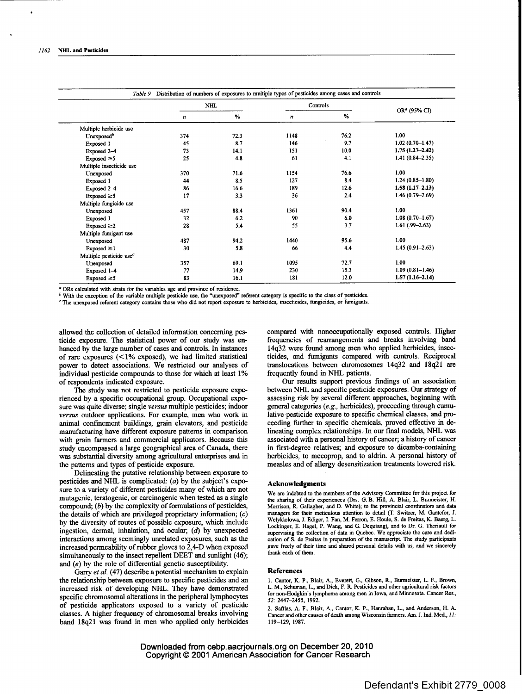|                                     |     | <b>NHL</b> |      | Controls |                     |
|-------------------------------------|-----|------------|------|----------|---------------------|
|                                     | n   | %          | n    | %        | $ORa$ (95% CI)      |
| Multiple herbicide use              |     |            |      |          |                     |
| Unexposed <sup>b</sup>              | 374 | 72.3       | 1148 | 76.2     | 1.00                |
| Exposed 1                           | 45  | 8.7        | 146  | 9.7      | $1.02(0.70 - 1.47)$ |
| Exposed 2-4                         | 73  | 14.1       | 151  | 10.0     | $1.75(1.27 - 2.42)$ |
| Exposed $\geq 5$                    | 25  | 4.8        | 61   | 4.1      | $1.41(0.84 - 2.35)$ |
| Multiple insecticide use            |     |            |      |          |                     |
| Unexposed                           | 370 | 71.6       | 1154 | 76.6     | 1.00                |
| Exposed 1                           | 44  | 8.5        | 127  | 8.4      | $1.24(0.85-1.80)$   |
| Exposed 2-4                         | 86  | 16.6       | 189  | 12.6     | $1.58(1.17-2.13)$   |
| Exposed $\geq 5$                    | 17  | 3.3        | 36   | 2.4      | $1.46(0.79 - 2.69)$ |
| Multiple fungicide use              |     |            |      |          |                     |
| Unexposed                           | 457 | 88.4       | 1361 | 90.4     | 1.00                |
| Exposed 1                           | 32  | 6.2        | 90   | 6.0      | $1.08(0.70 - 1.67)$ |
| $Exposed \geq 2$                    | 28  | 5.4        | 55   | 3.7      | $1.61(.99 - 2.63)$  |
| Multiple fumigant use               |     |            |      |          |                     |
| Unexposed                           | 487 | 94.2       | 1440 | 95.6     | 1.00                |
| Exposed $\geq 1$                    | 30  | 5.8        | 66   | 4.4      | $1.45(0.91 - 2.63)$ |
| Multiple pesticide use <sup>c</sup> |     |            |      |          |                     |
| Unexposed                           | 357 | 69.1       | 1095 | 72.7     | 1.00                |
| Exposed 1-4                         | 77  | 14.9       | 230  | 15.3     | $1.09(0.81 - 1.46)$ |
| Exposed $\geq 5$                    | 83  | 16.1       | 181  | 12.0     | $1.57(1.16 - 2.14)$ |

ORs calculated with strata for the variables age and province of residence.

With the exception of the variable multiple pesticide use, the "unexposed" referent category is specific to the class of pesticides.

The unexposed referant category contains those who did not report exposure to herbicides, insecticides, fungicides, or fumigants.

allowed the collection of detailed information concerning pesticide exposure. The statistical power of our study was enhanced by the large number of cases and controls. In instances of rare exposures  $\left($ <1% exposed), we had limited statistical power to detect associations. We restricted our analyses of individual pesticide compounds to those for which at least 1% of respondents indicated exposure.

The study was not restricted to pesticide exposure experienced by a specific occupational group. Occupational exposure was quite diverse; single *versus* multiple pesticides; indoor *versus* outdoor applications. For example, men who work in animal confmement buildings, grain elevators, and pesticide manufacturing have different exposure patterns in comparison with grain farmers and commercial applicators. Because this study encompassed a large geographical area of Canada, there was substantial diversity among agricultural enterprises and in the patterns and types of pesticide exposure.

Delineating the putative relationship between exposure to pesticides and NHL is complicated: (a) by the subject's exposure to a variety of different pesticides many of which are not mutagenic, teratogenic, or carcinogenic when tested as a single compound;  $(b)$  by the complexity of formulations of pesticides, the details of which are privileged proprietary information;  $(c)$ by the diversity of routes of possible exposure, which include ingestion, dermal, inhalation, and ocular;  $(d)$  by unexpected interactions among seemingly unrelated exposures, such as the increased permeability of rubber gloves to  $2,4$ -D when exposed simultaneously to the insect repellent DEET and sunlight (46); and (e) by the role of differential genetic susceptibility.

*Garry et al.* (47) describe a potential mechanism to explain the relationship between exposure to specific pesticides and an increased risk of developing NHL. They have demonstrated specific chromosomal alterations in the peripheral lymphocytes of pesticide applicators exposed to a variety of pesticide classes. A higher frequency of chromosomal breaks involving band 18q21 was found in men who applied only herbicides compared with nonoccupationally exposed controls. Higher frequencies of rearrangements and breaks involving band 14q32 were found among men who applied herbicides, insecticides, and fumigants compared with controls. Reciprocal translocations between chromosomes 14q32 and 18q21 are frequently found in NHL patients.

Our results support previous findings of an association between NHL and specific pesticide exposures. Our strategy of assessing risk by several different approaches, beginning with general categories *(e.g.,* herbicides), proceeding through cumulative pesticide exposure to specific chemical classes, and proceeding further to specific chemicals, proved effective in delineating complex relationships. In our final models, NHL was associated with a personal history of cancer; a history of cancer in first-degree relatives; and exposure to dicamba-containing herbicides, to mecoprop, and to aldrin. A personal history of measles and of allergy desensitization treatments lowered risk.

## **Acknowledgments**

We are indebted to the members of the Advisory Committee for this project for the sharing of their experiences (Drs. G.B. Hill, A. Blair, L Burmeister, H. Morrison, R. Gallagher, and D. White); to the provincial coordinators and data managers for their meticulous attention to detail (T. Switzer, M. Gantefor, J. Welyklolowa, J. Ediger, I. Fan, M. Ferron, E. Houle, S. de Freitas, K. Baerg, L. Lockinger, E. Hagel, P. Wang, and G. Dequlang), and to Dr. G. Theriault for supervising the collection of data in Quebec. We appreciate the care and dedication of S. de Freitas in preparation of the manuscript. The study participants gave freely of their time and shared personal details with us, and we sincerely thank each of them.

## **References**

1. Cantor, K. P., Blair, A., Everett, G., Gibson, R., Burmeister, L. F., Brown, L. M., Schuman, L., and Dick, F. R. Pesticides and other agricultural risk factors for non-Hodgkin's lymphoma among men in Iowa, and Minnesota. Cancer Res., *52:* 2447-2455, 1992.

2. Safdas, A. F., Blair, A., Cantor, K. P., Hanraban, L., and Anderson, H. A. Cancer and other causes of death among Wisconsin farmers. Am. J. Ind. Med., *11:* 119-129, 1987.